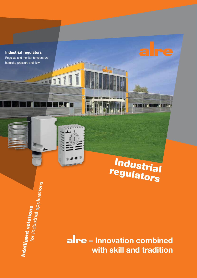

H

- 11

 $_{abc}$ 

Intelligent solutions

for industrial applications



**– Innovation combined with skill and tradition**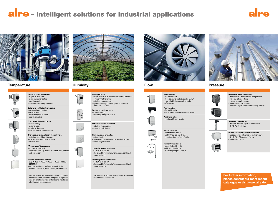**For further information, please consult our most recent catalogue or visit www.alre.de**

# alre - Intelligent solutions for industrial applications





## **Temperature Humidity Flow Pressure**



### **Thermostats for installation in distributor**s

- 
- 
- 

- various models, e.g. surface-mounted, duct, contact,
- 
- various models, e.g. surface-mounted, flush mounted, sleeve, air, duct, contact, exterior sensor

 $-0 - 10$  V or 4 - 20 mA – also available for humidity/temperature combined in one appliance

– for pipe diameters between  $\frac{1}{2}$ " and 8" – also suitable for aggressive media – TÜV-tested



 and many more, such as switch cabinet, contact or duct thermostats, differential temperature regulators, displays and thermostats for front panel installation, electric multi-level regulators



















**Surface-mounted hygrostats** – exterior / interior setting – mech. range limitation

**Flush-mounted hygrostats** – external setting – adaptable for virtually all surface switch ranges – mech. range limitation



**"Humidity" duct transducers**



 and many more, such as "Humidity and temperature" transducer for outdoor use





**Flow monitors** – for liquid media

**Flow monitors** – for liquid media – for pipe diameters between 3/8" and 1"







**Airflow monitors** – fixed / remote sensor – with/without locking device – adjustable turn-on/turn-off delay



**"Airflow" transducers** – outpout signal 0 - 10 V – with mounting flange – measuring range 0 - 20 m/s





| Differential pressure switches<br>- monitor over-, differential or underpressure<br>- interior / exterior setting<br>- various measuring ranges<br>- optional cover set for IP65<br>- with/without pre-assembled mounting bracket |
|-----------------------------------------------------------------------------------------------------------------------------------------------------------------------------------------------------------------------------------|
|                                                                                                                                                                                                                                   |
| "Pressure" transducers<br>- measure pressure in gas or liquid media<br>$-0 - 10$ V or 4 - 20 mA                                                                                                                                   |
| "Differential air pressure" transducers<br>- measure over-, differential or underpressure<br>$-0 - 10$ V, 0 - 20 mA or 4 - 20 mA<br>- optional LC display                                                                         |
|                                                                                                                                                                                                                                   |